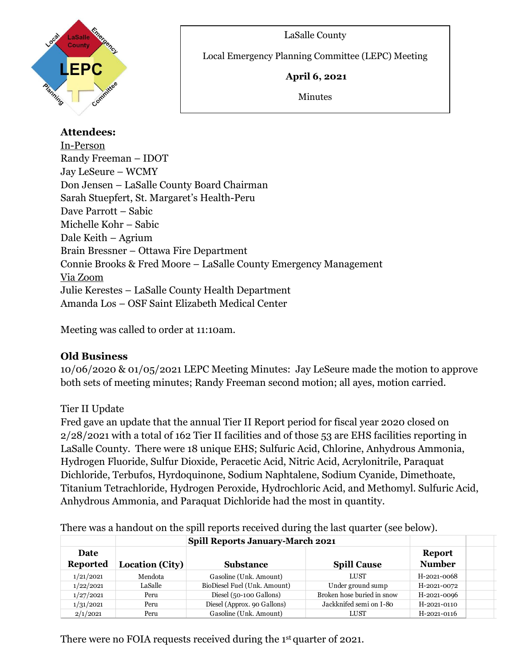#### LaSalle County



Local Emergency Planning Committee (LEPC) Meeting

#### **April 6, 2021**

Minutes

**Attendees:** In-Person Randy Freeman – IDOT Jay LeSeure – WCMY Don Jensen – LaSalle County Board Chairman Sarah Stuepfert, St. Margaret's Health-Peru Dave Parrott – Sabic Michelle Kohr – Sabic Dale Keith – Agrium Brain Bressner – Ottawa Fire Department Connie Brooks & Fred Moore – LaSalle County Emergency Management Via Zoom Julie Kerestes – LaSalle County Health Department Amanda Los – OSF Saint Elizabeth Medical Center

 $\overline{a}$ 

Meeting was called to order at 11:10am.

# **Old Business**

10/06/2020 & 01/05/2021 LEPC Meeting Minutes: Jay LeSeure made the motion to approve both sets of meeting minutes; Randy Freeman second motion; all ayes, motion carried.

# Tier II Update

Fred gave an update that the annual Tier II Report period for fiscal year 2020 closed on 2/28/2021 with a total of 162 Tier II facilities and of those 53 are EHS facilities reporting in LaSalle County. There were 18 unique EHS; Sulfuric Acid, Chlorine, Anhydrous Ammonia, Hydrogen Fluoride, Sulfur Dioxide, Peracetic Acid, Nitric Acid, Acrylonitrile, Paraquat Dichloride, Terbufos, Hyrdoquinone, Sodium Naphtalene, Sodium Cyanide, Dimethoate, Titanium Tetrachloride, Hydrogen Peroxide, Hydrochloric Acid, and Methomyl. Sulfuric Acid, Anhydrous Ammonia, and Paraquat Dichloride had the most in quantity.

|                         | <b>Spill Reports January-March 2021</b> |                              |                            |                         |  |
|-------------------------|-----------------------------------------|------------------------------|----------------------------|-------------------------|--|
| Date<br><b>Reported</b> | Location (City)                         | <b>Substance</b>             | <b>Spill Cause</b>         | Report<br><b>Number</b> |  |
| 1/21/2021               | Mendota                                 | Gasoline (Unk. Amount)       | LUST                       | H-2021-0068             |  |
| 1/22/2021               | LaSalle                                 | BioDiesel Fuel (Unk. Amount) | Under ground sump          | H-2021-0072             |  |
| 1/27/2021               | Peru                                    | Diesel (50-100 Gallons)      | Broken hose buried in snow | H-2021-0096             |  |
| 1/31/2021               | Peru                                    | Diesel (Approx. 90 Gallons)  | Jackknifed semi on I-80    | H-2021-0110             |  |
| 2/1/2021                | Peru                                    | Gasoline (Unk. Amount)       | LUST                       | H-2021-0116             |  |

There was a handout on the spill reports received during the last quarter (see below).

There were no FOIA requests received during the 1 st quarter of 2021.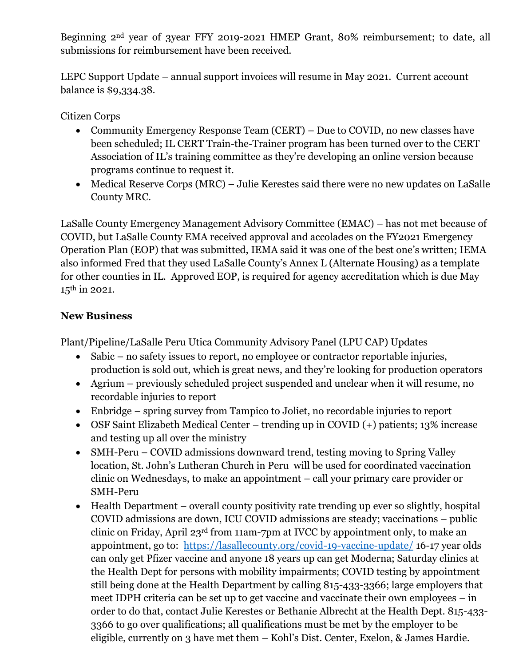Beginning 2nd year of 3year FFY 2019-2021 HMEP Grant, 80% reimbursement; to date, all submissions for reimbursement have been received.

LEPC Support Update – annual support invoices will resume in May 2021. Current account balance is \$9,334.38.

Citizen Corps

- Community Emergency Response Team (CERT) Due to COVID, no new classes have been scheduled; IL CERT Train-the-Trainer program has been turned over to the CERT Association of IL's training committee as they're developing an online version because programs continue to request it.
- Medical Reserve Corps (MRC) Julie Kerestes said there were no new updates on LaSalle County MRC.

LaSalle County Emergency Management Advisory Committee (EMAC) – has not met because of COVID, but LaSalle County EMA received approval and accolades on the FY2021 Emergency Operation Plan (EOP) that was submitted, IEMA said it was one of the best one's written; IEMA also informed Fred that they used LaSalle County's Annex L (Alternate Housing) as a template for other counties in IL. Approved EOP, is required for agency accreditation which is due May 15<sup>th</sup> in 2021.

#### **New Business**

Plant/Pipeline/LaSalle Peru Utica Community Advisory Panel (LPU CAP) Updates

- Sabic no safety issues to report, no employee or contractor reportable injuries, production is sold out, which is great news, and they're looking for production operators
- Agrium previously scheduled project suspended and unclear when it will resume, no recordable injuries to report
- Enbridge spring survey from Tampico to Joliet, no recordable injuries to report
- OSF Saint Elizabeth Medical Center trending up in COVID (+) patients; 13% increase and testing up all over the ministry
- SMH-Peru COVID admissions downward trend, testing moving to Spring Valley location, St. John's Lutheran Church in Peru will be used for coordinated vaccination clinic on Wednesdays, to make an appointment – call your primary care provider or SMH-Peru
- Health Department overall county positivity rate trending up ever so slightly, hospital COVID admissions are down, ICU COVID admissions are steady; vaccinations – public clinic on Friday, April 23rd from 11am-7pm at IVCC by appointment only, to make an appointment, go to: <https://lasallecounty.org/covid-19-vaccine-update/> 16-17 year olds can only get Pfizer vaccine and anyone 18 years up can get Moderna; Saturday clinics at the Health Dept for persons with mobility impairments; COVID testing by appointment still being done at the Health Department by calling 815-433-3366; large employers that meet IDPH criteria can be set up to get vaccine and vaccinate their own employees – in order to do that, contact Julie Kerestes or Bethanie Albrecht at the Health Dept. 815-433- 3366 to go over qualifications; all qualifications must be met by the employer to be eligible, currently on 3 have met them – Kohl's Dist. Center, Exelon, & James Hardie.